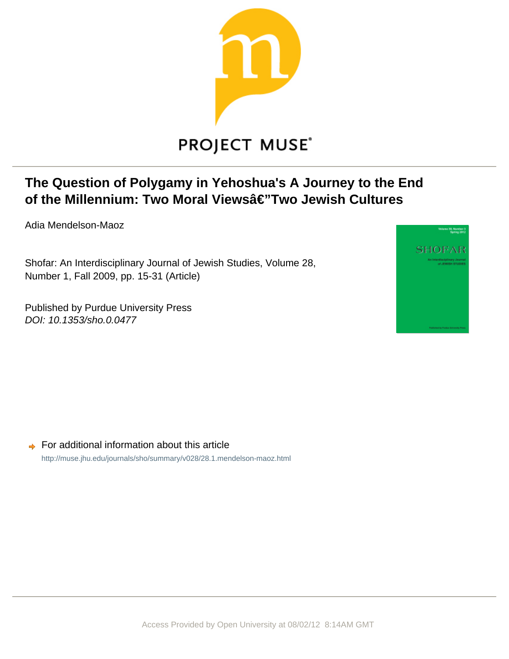

# **PROJECT MUSE®**

## **The Question of Polygamy in Yehoshua's A Journey to the End** of the Millennium: Two Moral Viewsâ€'Two Jewish Cultures

Adia Mendelson-Maoz

Shofar: An Interdisciplinary Journal of Jewish Studies, Volume 28, Number 1, Fall 2009, pp. 15-31 (Article)

Published by Purdue University Press DOI: 10.1353/sho.0.0477



 $\rightarrow$  For additional information about this article <http://muse.jhu.edu/journals/sho/summary/v028/28.1.mendelson-maoz.html>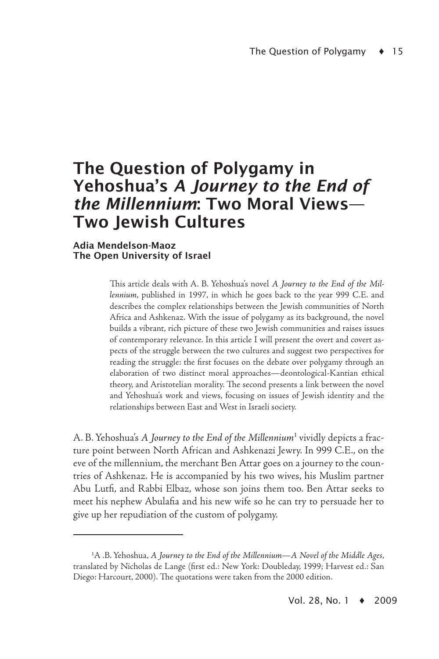### The Question of Polygamy in Yehoshua's *A Journey to the End of the Millennium*: Two Moral Views— Two Jewish Cultures

#### Adia Mendelson-Maoz The Open University of Israel

This article deals with A. B. Yehoshua's novel *A Journey to the End of the Millennium*, published in 1997, in which he goes back to the year 999 C.E. and describes the complex relationships between the Jewish communities of North Africa and Ashkenaz. With the issue of polygamy as its background, the novel builds a vibrant, rich picture of these two Jewish communities and raises issues of contemporary relevance. In this article I will present the overt and covert aspects of the struggle between the two cultures and suggest two perspectives for reading the struggle: the first focuses on the debate over polygamy through an elaboration of two distinct moral approaches—deontological-Kantian ethical theory, and Aristotelian morality. The second presents a link between the novel and Yehoshua's work and views, focusing on issues of Jewish identity and the relationships between East and West in Israeli society.

A. B. Yehoshua's *A Journey to the End of the Millennium*<sup>1</sup> vividly depicts a fracture point between North African and Ashkenazi Jewry. In 999 C.E., on the eve of the millennium, the merchant Ben Attar goes on a journey to the countries of Ashkenaz. He is accompanied by his two wives, his Muslim partner Abu Lutfi, and Rabbi Elbaz, whose son joins them too. Ben Attar seeks to meet his nephew Abulafia and his new wife so he can try to persuade her to give up her repudiation of the custom of polygamy.

<sup>1</sup> A .B. Yehoshua, *A Journey to the End of the Millennium—A Novel of the Middle Ages*, translated by Nicholas de Lange (first ed.: New York: Doubleday, 1999; Harvest ed.: San Diego: Harcourt, 2000). The quotations were taken from the 2000 edition.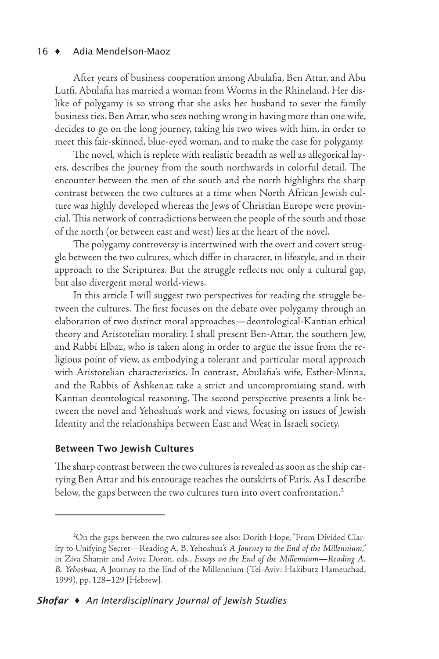#### 16 ♦ Adia Mendelson-Maoz  $16 \triangleleft$

After years of business cooperation among Abulafia, Ben Attar, and Abu Lutfi, Abulafia has married a woman from Worms in the Rhineland. Her dislike of polygamy is so strong that she asks her husband to sever the family business ties. Ben Attar, who sees nothing wrong in having more than one wife, decides to go on the long journey, taking his two wives with him, in order to meet this fair-skinned, blue-eyed woman, and to make the case for polygamy.

The novel, which is replete with realistic breadth as well as allegorical layers, describes the journey from the south northwards in colorful detail. The encounter between the men of the south and the north highlights the sharp contrast between the two cultures at a time when North African Jewish culture was highly developed whereas the Jews of Christian Europe were provincial. This network of contradictions between the people of the south and those of the north (or between east and west) lies at the heart of the novel.

The polygamy controversy is intertwined with the overt and covert struggle between the two cultures, which differ in character, in lifestyle, and in their approach to the Scriptures. But the struggle reflects not only a cultural gap, but also divergent moral world-views.

In this article I will suggest two perspectives for reading the struggle between the cultures. The first focuses on the debate over polygamy through an elaboration of two distinct moral approaches—deontological-Kantian ethical theory and Aristotelian morality. I shall present Ben-Attar, the southern Jew, and Rabbi Elbaz, who is taken along in order to argue the issue from the religious point of view, as embodying a tolerant and particular moral approach with Aristotelian characteristics. In contrast, Abulafia's wife, Esther-Minna, and the Rabbis of Ashkenaz take a strict and uncompromising stand, with Kantian deontological reasoning. The second perspective presents a link between the novel and Yehoshua's work and views, focusing on issues of Jewish Identity and the relationships between East and West in Israeli society.

#### Between Two Jewish Cultures

The sharp contrast between the two cultures is revealed as soon as the ship carrying Ben Attar and his entourage reaches the outskirts of Paris. As I describe below, the gaps between the two cultures turn into overt confrontation.<sup>2</sup>

<sup>2</sup> On the gaps between the two cultures see also: Dorith Hope, "From Divided Clarity to Unifying Secret—Reading A. B. Yehoshua's *A Journey to the End of the Millennium*," in Ziva Shamir and Aviva Doron, eds., *Essays on the End of the Millennium—Reading A. B. Yehoshua*, A Journey to the End of the Millennium (Tel-Aviv: Hakibutz Hameuchad, 1999), pp. 128–129 [Hebrew].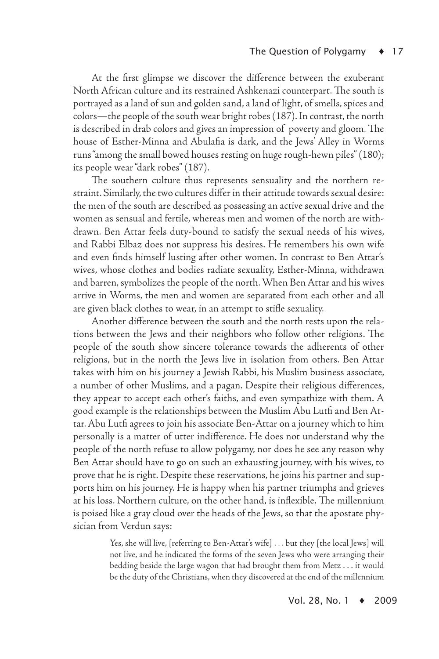At the first glimpse we discover the difference between the exuberant North African culture and its restrained Ashkenazi counterpart. The south is portrayed as a land of sun and golden sand, a land of light, of smells, spices and colors—the people of the south wear bright robes (187). In contrast, the north is described in drab colors and gives an impression of poverty and gloom. The house of Esther-Minna and Abulafia is dark, and the Jews' Alley in Worms runs "among the small bowed houses resting on huge rough-hewn piles" (180); its people wear "dark robes" (187).

The southern culture thus represents sensuality and the northern restraint. Similarly, the two cultures differ in their attitude towards sexual desire: the men of the south are described as possessing an active sexual drive and the women as sensual and fertile, whereas men and women of the north are withdrawn. Ben Attar feels duty-bound to satisfy the sexual needs of his wives, and Rabbi Elbaz does not suppress his desires. He remembers his own wife and even finds himself lusting after other women. In contrast to Ben Attar's wives, whose clothes and bodies radiate sexuality, Esther-Minna, withdrawn and barren, symbolizes the people of the north. When Ben Attar and his wives arrive in Worms, the men and women are separated from each other and all are given black clothes to wear, in an attempt to stifle sexuality.

Another difference between the south and the north rests upon the relations between the Jews and their neighbors who follow other religions. The people of the south show sincere tolerance towards the adherents of other religions, but in the north the Jews live in isolation from others. Ben Attar takes with him on his journey a Jewish Rabbi, his Muslim business associate, a number of other Muslims, and a pagan. Despite their religious differences, they appear to accept each other's faiths, and even sympathize with them. A good example is the relationships between the Muslim Abu Lutfi and Ben Attar. Abu Lutfi agrees to join his associate Ben-Attar on a journey which to him personally is a matter of utter indifference. He does not understand why the people of the north refuse to allow polygamy, nor does he see any reason why Ben Attar should have to go on such an exhausting journey, with his wives, to prove that he is right. Despite these reservations, he joins his partner and supports him on his journey. He is happy when his partner triumphs and grieves at his loss. Northern culture, on the other hand, is inflexible. The millennium is poised like a gray cloud over the heads of the Jews, so that the apostate physician from Verdun says:

> Yes, she will live, [referring to Ben-Attar's wife] . . . but they [the local Jews] will not live, and he indicated the forms of the seven Jews who were arranging their bedding beside the large wagon that had brought them from Metz . . . it would be the duty of the Christians, when they discovered at the end of the millennium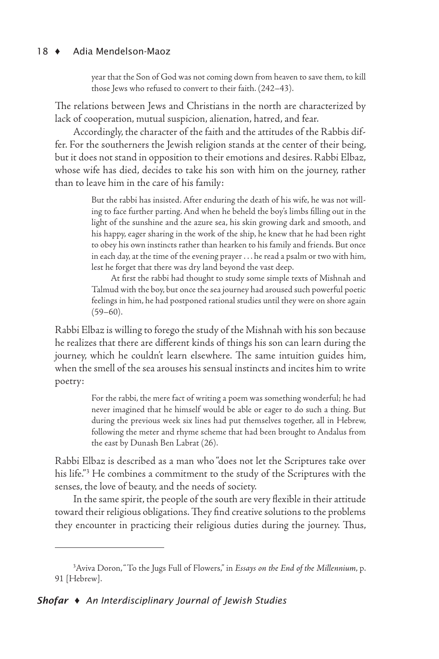year that the Son of God was not coming down from heaven to save them, to kill those Jews who refused to convert to their faith. (242–43).

The relations between Jews and Christians in the north are characterized by lack of cooperation, mutual suspicion, alienation, hatred, and fear.

Accordingly, the character of the faith and the attitudes of the Rabbis differ. For the southerners the Jewish religion stands at the center of their being, but it does not stand in opposition to their emotions and desires. Rabbi Elbaz, whose wife has died, decides to take his son with him on the journey, rather than to leave him in the care of his family:

> But the rabbi has insisted. After enduring the death of his wife, he was not willing to face further parting. And when he beheld the boy's limbs filling out in the light of the sunshine and the azure sea, his skin growing dark and smooth, and his happy, eager sharing in the work of the ship, he knew that he had been right to obey his own instincts rather than hearken to his family and friends. But once in each day, at the time of the evening prayer . . . he read a psalm or two with him, lest he forget that there was dry land beyond the vast deep.

> At first the rabbi had thought to study some simple texts of Mishnah and Talmud with the boy, but once the sea journey had aroused such powerful poetic feelings in him, he had postponed rational studies until they were on shore again  $(59–60)$ .

Rabbi Elbaz is willing to forego the study of the Mishnah with his son because he realizes that there are different kinds of things his son can learn during the journey, which he couldn't learn elsewhere. The same intuition guides him, when the smell of the sea arouses his sensual instincts and incites him to write poetry:

> For the rabbi, the mere fact of writing a poem was something wonderful; he had never imagined that he himself would be able or eager to do such a thing. But during the previous week six lines had put themselves together, all in Hebrew, following the meter and rhyme scheme that had been brought to Andalus from the east by Dunash Ben Labrat (26).

Rabbi Elbaz is described as a man who "does not let the Scriptures take over his life."<sup>3</sup> He combines a commitment to the study of the Scriptures with the senses, the love of beauty, and the needs of society.

In the same spirit, the people of the south are very flexible in their attitude toward their religious obligations. They find creative solutions to the problems they encounter in practicing their religious duties during the journey. Thus,

<sup>&</sup>lt;sup>3</sup> Aviva Doron, "To the Jugs Full of Flowers," in *Essays on the End of the Millennium*, p. 91 [Hebrew].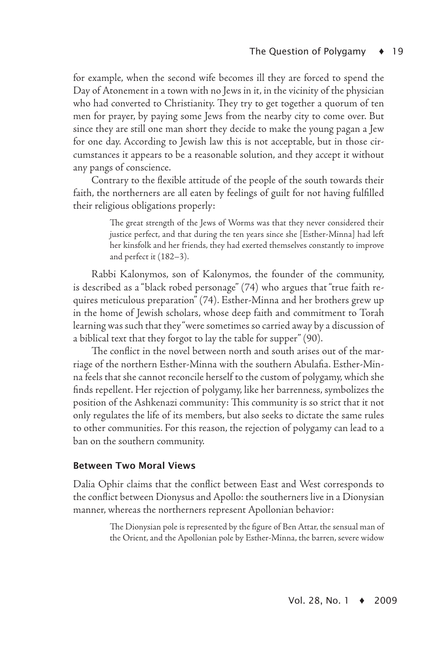for example, when the second wife becomes ill they are forced to spend the Day of Atonement in a town with no Jews in it, in the vicinity of the physician who had converted to Christianity. They try to get together a quorum of ten men for prayer, by paying some Jews from the nearby city to come over. But since they are still one man short they decide to make the young pagan a Jew for one day. According to Jewish law this is not acceptable, but in those circumstances it appears to be a reasonable solution, and they accept it without any pangs of conscience.

Contrary to the flexible attitude of the people of the south towards their faith, the northerners are all eaten by feelings of guilt for not having fulfilled their religious obligations properly:

> The great strength of the Jews of Worms was that they never considered their justice perfect, and that during the ten years since she [Esther-Minna] had left her kinsfolk and her friends, they had exerted themselves constantly to improve and perfect it (182–3).

Rabbi Kalonymos, son of Kalonymos, the founder of the community, is described as a "black robed personage" (74) who argues that "true faith requires meticulous preparation" (74). Esther-Minna and her brothers grew up in the home of Jewish scholars, whose deep faith and commitment to Torah learning was such that they "were sometimes so carried away by a discussion of a biblical text that they forgot to lay the table for supper" (90).

The conflict in the novel between north and south arises out of the marriage of the northern Esther-Minna with the southern Abulafia. Esther-Minna feels that she cannot reconcile herself to the custom of polygamy, which she finds repellent. Her rejection of polygamy, like her barrenness, symbolizes the position of the Ashkenazi community: This community is so strict that it not only regulates the life of its members, but also seeks to dictate the same rules to other communities. For this reason, the rejection of polygamy can lead to a ban on the southern community.

#### Between Two Moral Views

Dalia Ophir claims that the conflict between East and West corresponds to the conflict between Dionysus and Apollo: the southerners live in a Dionysian manner, whereas the northerners represent Apollonian behavior:

> The Dionysian pole is represented by the figure of Ben Attar, the sensual man of the Orient, and the Apollonian pole by Esther-Minna, the barren, severe widow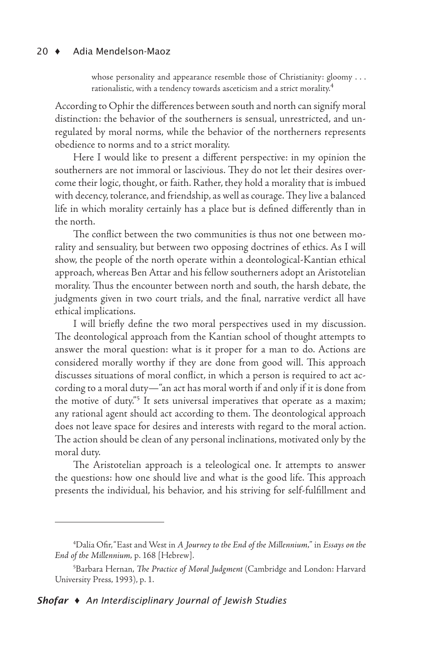whose personality and appearance resemble those of Christianity: gloomy . . . rationalistic, with a tendency towards asceticism and a strict morality.<sup>4</sup>

According to Ophir the differences between south and north can signify moral distinction: the behavior of the southerners is sensual, unrestricted, and unregulated by moral norms, while the behavior of the northerners represents obedience to norms and to a strict morality.

Here I would like to present a different perspective: in my opinion the southerners are not immoral or lascivious. They do not let their desires overcome their logic, thought, or faith. Rather, they hold a morality that is imbued with decency, tolerance, and friendship, as well as courage. They live a balanced life in which morality certainly has a place but is defined differently than in the north.

The conflict between the two communities is thus not one between morality and sensuality, but between two opposing doctrines of ethics. As I will show, the people of the north operate within a deontological-Kantian ethical approach, whereas Ben Attar and his fellow southerners adopt an Aristotelian morality. Thus the encounter between north and south, the harsh debate, the judgments given in two court trials, and the final, narrative verdict all have ethical implications.

I will briefly define the two moral perspectives used in my discussion. The deontological approach from the Kantian school of thought attempts to answer the moral question: what is it proper for a man to do. Actions are considered morally worthy if they are done from good will. This approach discusses situations of moral conflict, in which a person is required to act according to a moral duty—"an act has moral worth if and only if it is done from the motive of duty."<sup>5</sup> It sets universal imperatives that operate as a maxim; any rational agent should act according to them. The deontological approach does not leave space for desires and interests with regard to the moral action. The action should be clean of any personal inclinations, motivated only by the moral duty.

The Aristotelian approach is a teleological one. It attempts to answer the questions: how one should live and what is the good life. This approach presents the individual, his behavior, and his striving for self-fulfillment and

<sup>4</sup> Dalia Ofir, "East and West in *A Journey to the End of the Millennium,*" in *Essays on the End of the Millennium,* p. 168 [Hebrew].

<sup>5</sup> Barbara Hernan, *The Practice of Moral Judgment* (Cambridge and London: Harvard University Press, 1993), p. 1.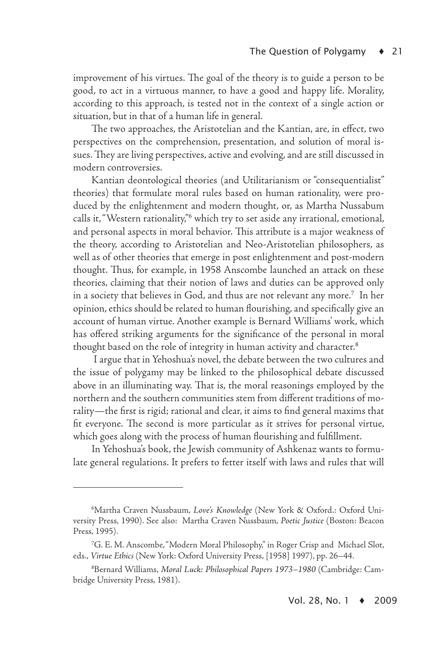improvement of his virtues. The goal of the theory is to guide a person to be good, to act in a virtuous manner, to have a good and happy life. Morality, according to this approach, is tested not in the context of a single action or situation, but in that of a human life in general.

The two approaches, the Aristotelian and the Kantian, are, in effect, two perspectives on the comprehension, presentation, and solution of moral issues. They are living perspectives, active and evolving, and are still discussed in modern controversies.

Kantian deontological theories (and Utilitarianism or "consequentialist" theories) that formulate moral rules based on human rationality, were produced by the enlightenment and modern thought, or, as Martha Nussabum calls it, "Western rationality," which try to set aside any irrational, emotional, and personal aspects in moral behavior. This attribute is a major weakness of the theory, according to Aristotelian and Neo-Aristotelian philosophers, as well as of other theories that emerge in post enlightenment and post-modern thought. Thus, for example, in 1958 Anscombe launched an attack on these theories, claiming that their notion of laws and duties can be approved only in a society that believes in God, and thus are not relevant any more.<sup>7</sup> In her opinion, ethics should be related to human flourishing, and specifically give an account of human virtue. Another example is Bernard Williams' work, which has offered striking arguments for the significance of the personal in moral thought based on the role of integrity in human activity and character.<sup>8</sup>

I argue that in Yehoshua's novel, the debate between the two cultures and the issue of polygamy may be linked to the philosophical debate discussed above in an illuminating way. That is, the moral reasonings employed by the northern and the southern communities stem from different traditions of morality—the first is rigid; rational and clear, it aims to find general maxims that fit everyone. The second is more particular as it strives for personal virtue, which goes along with the process of human flourishing and fulfillment.

In Yehoshua's book, the Jewish community of Ashkenaz wants to formulate general regulations. It prefers to fetter itself with laws and rules that will

<sup>6</sup> Martha Craven Nussbaum, *Love's Knowledge* (New York & Oxford.: Oxford University Press, 1990). See also: Martha Craven Nussbaum, *Poetic Justice* (Boston: Beacon Press, 1995).

<sup>&</sup>lt;sup>7</sup>G. E. M. Anscombe, "Modern Moral Philosophy," in Roger Crisp and Michael Slot, eds., *Virtue Ethics* (New York: Oxford University Press, [1958] 1997), pp. 26–44.

<sup>8</sup> Bernard Williams, *Moral Luck: Philosophical Papers 1973–1980* (Cambridge: Cambridge University Press, 1981).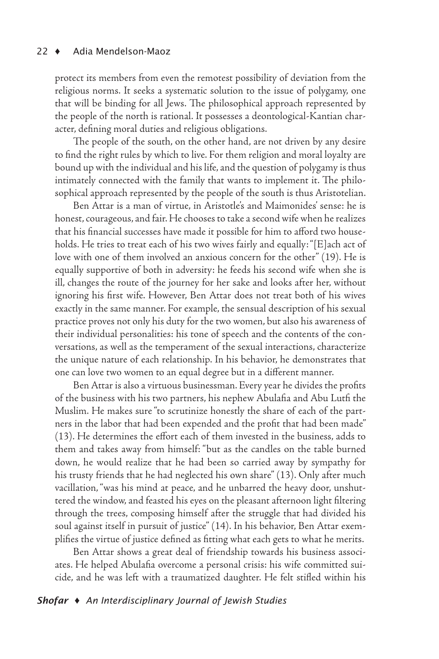protect its members from even the remotest possibility of deviation from the religious norms. It seeks a systematic solution to the issue of polygamy, one that will be binding for all Jews. The philosophical approach represented by the people of the north is rational. It possesses a deontological-Kantian character, defining moral duties and religious obligations.

The people of the south, on the other hand, are not driven by any desire to find the right rules by which to live. For them religion and moral loyalty are bound up with the individual and his life, and the question of polygamy is thus intimately connected with the family that wants to implement it. The philosophical approach represented by the people of the south is thus Aristotelian.

Ben Attar is a man of virtue, in Aristotle's and Maimonides' sense: he is honest, courageous, and fair. He chooses to take a second wife when he realizes that his financial successes have made it possible for him to afford two households. He tries to treat each of his two wives fairly and equally: "[E]ach act of love with one of them involved an anxious concern for the other" (19). He is equally supportive of both in adversity: he feeds his second wife when she is ill, changes the route of the journey for her sake and looks after her, without ignoring his first wife. However, Ben Attar does not treat both of his wives exactly in the same manner. For example, the sensual description of his sexual practice proves not only his duty for the two women, but also his awareness of their individual personalities: his tone of speech and the contents of the conversations, as well as the temperament of the sexual interactions, characterize the unique nature of each relationship. In his behavior, he demonstrates that one can love two women to an equal degree but in a different manner.

Ben Attar is also a virtuous businessman. Every year he divides the profits of the business with his two partners, his nephew Abulafia and Abu Lutfi the Muslim. He makes sure "to scrutinize honestly the share of each of the partners in the labor that had been expended and the profit that had been made" (13). He determines the effort each of them invested in the business, adds to them and takes away from himself: "but as the candles on the table burned down, he would realize that he had been so carried away by sympathy for his trusty friends that he had neglected his own share" (13). Only after much vacillation, "was his mind at peace, and he unbarred the heavy door, unshuttered the window, and feasted his eyes on the pleasant afternoon light filtering through the trees, composing himself after the struggle that had divided his soul against itself in pursuit of justice" (14). In his behavior, Ben Attar exemplifies the virtue of justice defined as fitting what each gets to what he merits.

Ben Attar shows a great deal of friendship towards his business associates. He helped Abulafia overcome a personal crisis: his wife committed suicide, and he was left with a traumatized daughter. He felt stifled within his

#### *Shofar* ♦ *An Interdisciplinary Journal of Jewish Studies*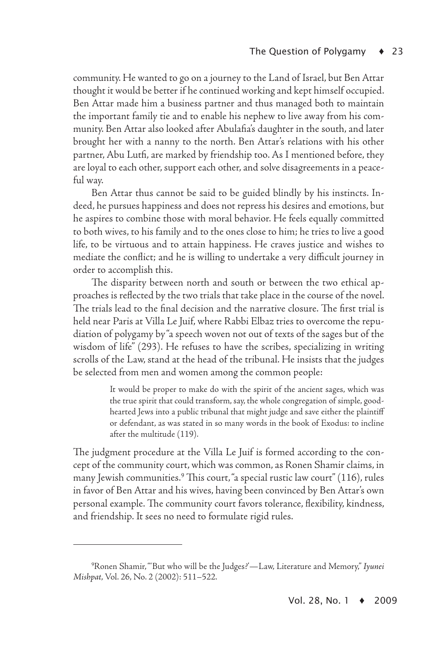community. He wanted to go on a journey to the Land of Israel, but Ben Attar thought it would be better if he continued working and kept himself occupied. Ben Attar made him a business partner and thus managed both to maintain the important family tie and to enable his nephew to live away from his community. Ben Attar also looked after Abulafia's daughter in the south, and later brought her with a nanny to the north. Ben Attar's relations with his other partner, Abu Lutfi, are marked by friendship too. As I mentioned before, they are loyal to each other, support each other, and solve disagreements in a peaceful way.

Ben Attar thus cannot be said to be guided blindly by his instincts. Indeed, he pursues happiness and does not repress his desires and emotions, but he aspires to combine those with moral behavior. He feels equally committed to both wives, to his family and to the ones close to him; he tries to live a good life, to be virtuous and to attain happiness. He craves justice and wishes to mediate the conflict; and he is willing to undertake a very difficult journey in order to accomplish this.

The disparity between north and south or between the two ethical approaches is reflected by the two trials that take place in the course of the novel. The trials lead to the final decision and the narrative closure. The first trial is held near Paris at Villa Le Juif, where Rabbi Elbaz tries to overcome the repudiation of polygamy by "a speech woven not out of texts of the sages but of the wisdom of life" (293). He refuses to have the scribes, specializing in writing scrolls of the Law, stand at the head of the tribunal. He insists that the judges be selected from men and women among the common people:

> It would be proper to make do with the spirit of the ancient sages, which was the true spirit that could transform, say, the whole congregation of simple, goodhearted Jews into a public tribunal that might judge and save either the plaintiff or defendant, as was stated in so many words in the book of Exodus: to incline after the multitude (119).

The judgment procedure at the Villa Le Juif is formed according to the concept of the community court, which was common, as Ronen Shamir claims, in many Jewish communities.<sup>9</sup> This court, "a special rustic law court" (116), rules in favor of Ben Attar and his wives, having been convinced by Ben Attar's own personal example. The community court favors tolerance, flexibility, kindness, and friendship. It sees no need to formulate rigid rules.

<sup>9</sup> Ronen Shamir, "'But who will be the Judges?'—Law, Literature and Memory," *Iyunei Mishpat*, Vol. 26, No. 2 (2002): 511–522.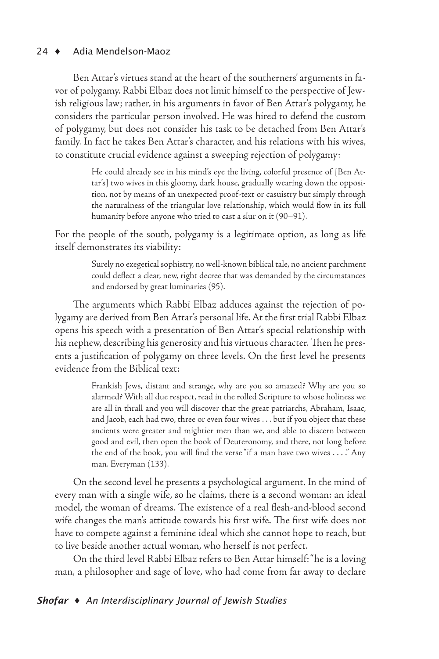Ben Attar's virtues stand at the heart of the southerners' arguments in favor of polygamy. Rabbi Elbaz does not limit himself to the perspective of Jewish religious law; rather, in his arguments in favor of Ben Attar's polygamy, he considers the particular person involved. He was hired to defend the custom of polygamy, but does not consider his task to be detached from Ben Attar's family. In fact he takes Ben Attar's character, and his relations with his wives, to constitute crucial evidence against a sweeping rejection of polygamy:

> He could already see in his mind's eye the living, colorful presence of [Ben Attar's] two wives in this gloomy, dark house, gradually wearing down the opposition, not by means of an unexpected proof-text or casuistry but simply through the naturalness of the triangular love relationship, which would flow in its full humanity before anyone who tried to cast a slur on it (90–91).

For the people of the south, polygamy is a legitimate option, as long as life itself demonstrates its viability:

> Surely no exegetical sophistry, no well-known biblical tale, no ancient parchment could deflect a clear, new, right decree that was demanded by the circumstances and endorsed by great luminaries (95).

The arguments which Rabbi Elbaz adduces against the rejection of polygamy are derived from Ben Attar's personal life. At the first trial Rabbi Elbaz opens his speech with a presentation of Ben Attar's special relationship with his nephew, describing his generosity and his virtuous character. Then he presents a justification of polygamy on three levels. On the first level he presents evidence from the Biblical text:

> Frankish Jews, distant and strange, why are you so amazed? Why are you so alarmed? With all due respect, read in the rolled Scripture to whose holiness we are all in thrall and you will discover that the great patriarchs, Abraham, Isaac, and Jacob, each had two, three or even four wives . . . but if you object that these ancients were greater and mightier men than we, and able to discern between good and evil, then open the book of Deuteronomy, and there, not long before the end of the book, you will find the verse "if a man have two wives . . . ." Any man. Everyman (133).

On the second level he presents a psychological argument. In the mind of every man with a single wife, so he claims, there is a second woman: an ideal model, the woman of dreams. The existence of a real flesh-and-blood second wife changes the man's attitude towards his first wife. The first wife does not have to compete against a feminine ideal which she cannot hope to reach, but to live beside another actual woman, who herself is not perfect.

On the third level Rabbi Elbaz refers to Ben Attar himself: "he is a loving man, a philosopher and sage of love, who had come from far away to declare

### *Shofar* ♦ *An Interdisciplinary Journal of Jewish Studies*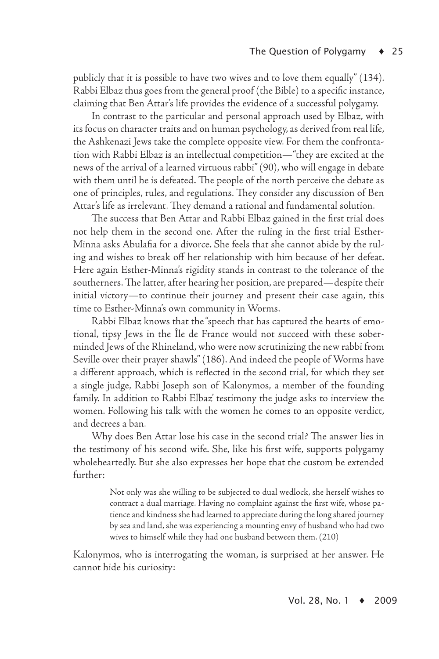publicly that it is possible to have two wives and to love them equally" (134). Rabbi Elbaz thus goes from the general proof (the Bible) to a specific instance, claiming that Ben Attar's life provides the evidence of a successful polygamy.

In contrast to the particular and personal approach used by Elbaz, with its focus on character traits and on human psychology, as derived from real life, the Ashkenazi Jews take the complete opposite view. For them the confrontation with Rabbi Elbaz is an intellectual competition—"they are excited at the news of the arrival of a learned virtuous rabbi" (90), who will engage in debate with them until he is defeated. The people of the north perceive the debate as one of principles, rules, and regulations. They consider any discussion of Ben Attar's life as irrelevant. They demand a rational and fundamental solution.

The success that Ben Attar and Rabbi Elbaz gained in the first trial does not help them in the second one. After the ruling in the first trial Esther-Minna asks Abulafia for a divorce. She feels that she cannot abide by the ruling and wishes to break off her relationship with him because of her defeat. Here again Esther-Minna's rigidity stands in contrast to the tolerance of the southerners. The latter, after hearing her position, are prepared—despite their initial victory—to continue their journey and present their case again, this time to Esther-Minna's own community in Worms.

Rabbi Elbaz knows that the "speech that has captured the hearts of emotional, tipsy Jews in the Île de France would not succeed with these soberminded Jews of the Rhineland, who were now scrutinizing the new rabbi from Seville over their prayer shawls" (186). And indeed the people of Worms have a different approach, which is reflected in the second trial, for which they set a single judge, Rabbi Joseph son of Kalonymos, a member of the founding family. In addition to Rabbi Elbaz' testimony the judge asks to interview the women. Following his talk with the women he comes to an opposite verdict, and decrees a ban.

Why does Ben Attar lose his case in the second trial? The answer lies in the testimony of his second wife. She, like his first wife, supports polygamy wholeheartedly. But she also expresses her hope that the custom be extended further:

> Not only was she willing to be subjected to dual wedlock, she herself wishes to contract a dual marriage. Having no complaint against the first wife, whose patience and kindness she had learned to appreciate during the long shared journey by sea and land, she was experiencing a mounting envy of husband who had two wives to himself while they had one husband between them. (210)

Kalonymos, who is interrogating the woman, is surprised at her answer. He cannot hide his curiosity: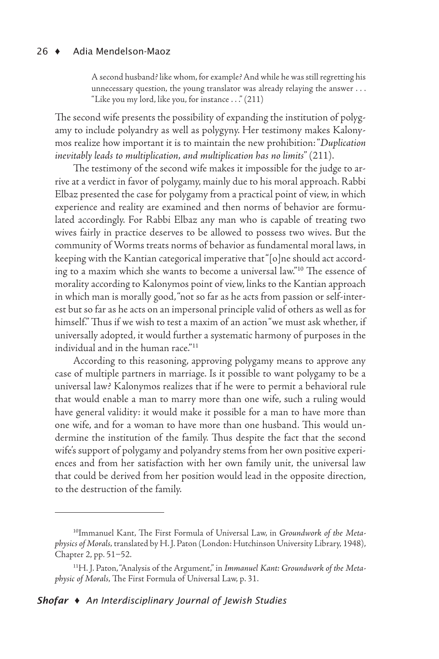A second husband? like whom, for example? And while he was still regretting his unnecessary question, the young translator was already relaying the answer . . . "Like you my lord, like you, for instance . . ." (211)

The second wife presents the possibility of expanding the institution of polygamy to include polyandry as well as polygyny. Her testimony makes Kalonymos realize how important it is to maintain the new prohibition: "*Duplication inevitably leads to multiplication, and multiplication has no limits*" (211).

The testimony of the second wife makes it impossible for the judge to arrive at a verdict in favor of polygamy, mainly due to his moral approach. Rabbi Elbaz presented the case for polygamy from a practical point of view, in which experience and reality are examined and then norms of behavior are formulated accordingly. For Rabbi Elbaz any man who is capable of treating two wives fairly in practice deserves to be allowed to possess two wives. But the community of Worms treats norms of behavior as fundamental moral laws, in keeping with the Kantian categorical imperative that "[o]ne should act according to a maxim which she wants to become a universal law."<sup>10</sup> The essence of morality according to Kalonymos point of view, links to the Kantian approach in which man is morally good, "not so far as he acts from passion or self-interest but so far as he acts on an impersonal principle valid of others as well as for himself." Thus if we wish to test a maxim of an action "we must ask whether, if universally adopted, it would further a systematic harmony of purposes in the individual and in the human race."<sup>11</sup>

According to this reasoning, approving polygamy means to approve any case of multiple partners in marriage. Is it possible to want polygamy to be a universal law? Kalonymos realizes that if he were to permit a behavioral rule that would enable a man to marry more than one wife, such a ruling would have general validity: it would make it possible for a man to have more than one wife, and for a woman to have more than one husband. This would undermine the institution of the family. Thus despite the fact that the second wife's support of polygamy and polyandry stems from her own positive experiences and from her satisfaction with her own family unit, the universal law that could be derived from her position would lead in the opposite direction, to the destruction of the family.

<sup>10</sup>Immanuel Kant, The First Formula of Universal Law, in *Groundwork of the Metaphysics of Morals,* translated by H. J. Paton (London: Hutchinson University Library, 1948), Chapter 2, pp. 51–52.

<sup>11</sup>H. J. Paton, "Analysis of the Argument," in *Immanuel Kant: Groundwork of the Metaphysic of Morals*, The First Formula of Universal Law, p. 31.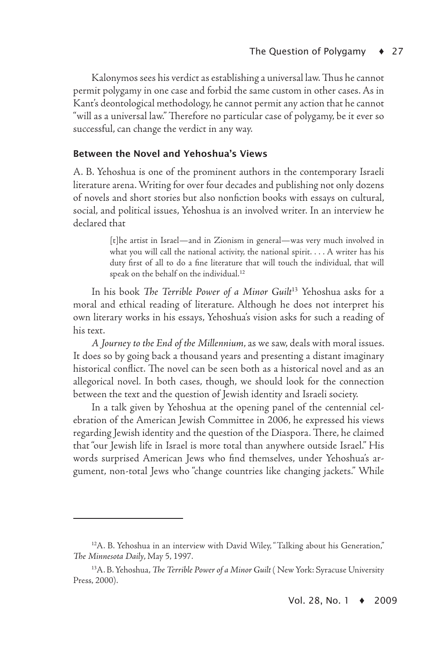Kalonymos sees his verdict as establishing a universal law. Thus he cannot permit polygamy in one case and forbid the same custom in other cases. As in Kant's deontological methodology, he cannot permit any action that he cannot "will as a universal law." Therefore no particular case of polygamy, be it ever so successful, can change the verdict in any way.

#### Between the Novel and Yehoshua's Views

A. B. Yehoshua is one of the prominent authors in the contemporary Israeli literature arena. Writing for over four decades and publishing not only dozens of novels and short stories but also nonfiction books with essays on cultural, social, and political issues, Yehoshua is an involved writer. In an interview he declared that

> [t]he artist in Israel—and in Zionism in general—was very much involved in what you will call the national activity, the national spirit. . . . A writer has his duty first of all to do a fine literature that will touch the individual, that will speak on the behalf on the individual.<sup>12</sup>

In his book *The Terrible Power of a Minor Guilt*<sup>13</sup> Yehoshua asks for a moral and ethical reading of literature. Although he does not interpret his own literary works in his essays, Yehoshua's vision asks for such a reading of his text.

*A Journey to the End of the Millennium*, as we saw, deals with moral issues. It does so by going back a thousand years and presenting a distant imaginary historical conflict. The novel can be seen both as a historical novel and as an allegorical novel. In both cases, though, we should look for the connection between the text and the question of Jewish identity and Israeli society.

In a talk given by Yehoshua at the opening panel of the centennial celebration of the American Jewish Committee in 2006, he expressed his views regarding Jewish identity and the question of the Diaspora. There, he claimed that "our Jewish life in Israel is more total than anywhere outside Israel." His words surprised American Jews who find themselves, under Yehoshua's argument, non-total Jews who "change countries like changing jackets." While

<sup>&</sup>lt;sup>12</sup>A. B. Yehoshua in an interview with David Wiley, "Talking about his Generation," *The Minnesota Daily*, May 5, 1997.

<sup>13</sup>A. B. Yehoshua, *The Terrible Power of a Minor Guilt* ( New York: Syracuse University Press, 2000).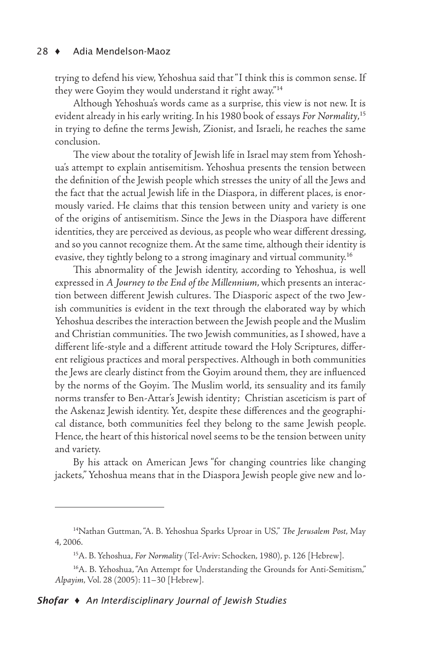trying to defend his view, Yehoshua said that "I think this is common sense. If they were Goyim they would understand it right away."<sup>14</sup>

Although Yehoshua's words came as a surprise, this view is not new. It is evident already in his early writing. In his 1980 book of essays *For Normality*, 15 in trying to define the terms Jewish, Zionist, and Israeli, he reaches the same conclusion.

The view about the totality of Jewish life in Israel may stem from Yehoshua's attempt to explain antisemitism. Yehoshua presents the tension between the definition of the Jewish people which stresses the unity of all the Jews and the fact that the actual Jewish life in the Diaspora, in different places, is enormously varied. He claims that this tension between unity and variety is one of the origins of antisemitism. Since the Jews in the Diaspora have different identities, they are perceived as devious, as people who wear different dressing, and so you cannot recognize them. At the same time, although their identity is evasive, they tightly belong to a strong imaginary and virtual community.<sup>16</sup>

This abnormality of the Jewish identity, according to Yehoshua, is well expressed in *A Journey to the End of the Millennium*, which presents an interaction between different Jewish cultures. The Diasporic aspect of the two Jewish communities is evident in the text through the elaborated way by which Yehoshua describes the interaction between the Jewish people and the Muslim and Christian communities. The two Jewish communities, as I showed, have a different life-style and a different attitude toward the Holy Scriptures, different religious practices and moral perspectives. Although in both communities the Jews are clearly distinct from the Goyim around them, they are influenced by the norms of the Goyim. The Muslim world, its sensuality and its family norms transfer to Ben-Attar's Jewish identity; Christian asceticism is part of the Askenaz Jewish identity. Yet, despite these differences and the geographical distance, both communities feel they belong to the same Jewish people. Hence, the heart of this historical novel seems to be the tension between unity and variety.

By his attack on American Jews "for changing countries like changing jackets," Yehoshua means that in the Diaspora Jewish people give new and lo-

<sup>14</sup>Nathan Guttman, "A. B. Yehoshua Sparks Uproar in US," *The Jerusalem Post*, May 4, 2006.

<sup>15</sup>A. B. Yehoshua, *For Normality* (Tel-Aviv: Schocken, 1980), p. 126 [Hebrew].

<sup>16</sup>A. B. Yehoshua, "An Attempt for Understanding the Grounds for Anti-Semitism," *Alpayim*, Vol. 28 (2005): 11–30 [Hebrew].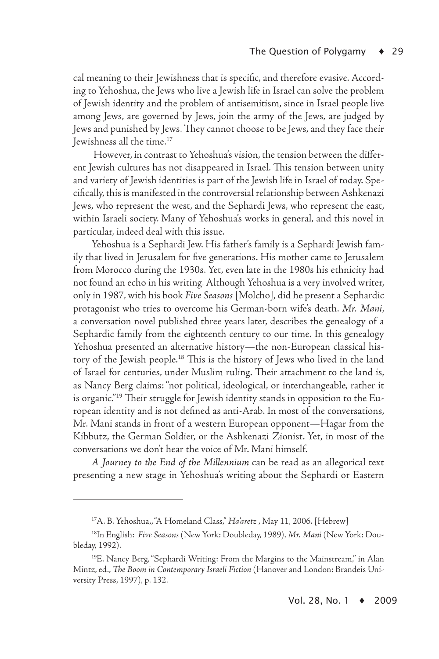cal meaning to their Jewishness that is specific, and therefore evasive. According to Yehoshua, the Jews who live a Jewish life in Israel can solve the problem of Jewish identity and the problem of antisemitism, since in Israel people live among Jews, are governed by Jews, join the army of the Jews, are judged by Jews and punished by Jews. They cannot choose to be Jews, and they face their Jewishness all the time.<sup>17</sup>

However, in contrast to Yehoshua's vision, the tension between the different Jewish cultures has not disappeared in Israel. This tension between unity and variety of Jewish identities is part of the Jewish life in Israel of today. Specifically, this is manifested in the controversial relationship between Ashkenazi Jews, who represent the west, and the Sephardi Jews, who represent the east, within Israeli society. Many of Yehoshua's works in general, and this novel in particular, indeed deal with this issue.

Yehoshua is a Sephardi Jew. His father's family is a Sephardi Jewish family that lived in Jerusalem for five generations. His mother came to Jerusalem from Morocco during the 1930s. Yet, even late in the 1980s his ethnicity had not found an echo in his writing. Although Yehoshua is a very involved writer, only in 1987, with his book *Five Seasons* [Molcho], did he present a Sephardic protagonist who tries to overcome his German-born wife's death. *Mr. Mani*, a conversation novel published three years later, describes the genealogy of a Sephardic family from the eighteenth century to our time. In this genealogy Yehoshua presented an alternative history—the non-European classical history of the Jewish people.<sup>18</sup> This is the history of Jews who lived in the land of Israel for centuries, under Muslim ruling. Their attachment to the land is, as Nancy Berg claims: "not political, ideological, or interchangeable, rather it is organic."19 Their struggle for Jewish identity stands in opposition to the European identity and is not defined as anti-Arab. In most of the conversations, Mr. Mani stands in front of a western European opponent—Hagar from the Kibbutz, the German Soldier, or the Ashkenazi Zionist. Yet, in most of the conversations we don't hear the voice of Mr. Mani himself.

*A Journey to the End of the Millennium* can be read as an allegorical text presenting a new stage in Yehoshua's writing about the Sephardi or Eastern

<sup>17</sup>A. B. Yehoshua,, "A Homeland Class," *Ha'aretz* , May 11, 2006. [Hebrew]

<sup>18</sup>In English: *Five Seasons* (New York: Doubleday, 1989), *Mr. Mani* (New York: Doubleday, 1992).

<sup>19</sup>E. Nancy Berg, "Sephardi Writing: From the Margins to the Mainstream," in Alan Mintz, ed., *The Boom in Contemporary Israeli Fiction* (Hanover and London: Brandeis University Press, 1997), p. 132.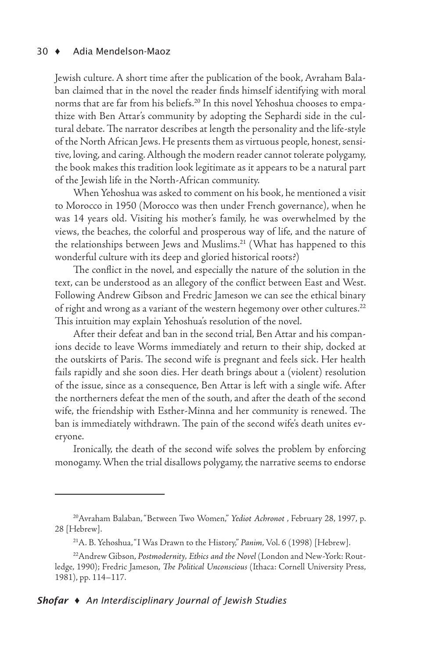Jewish culture. A short time after the publication of the book, Avraham Balaban claimed that in the novel the reader finds himself identifying with moral norms that are far from his beliefs.<sup>20</sup> In this novel Yehoshua chooses to empathize with Ben Attar's community by adopting the Sephardi side in the cultural debate. The narrator describes at length the personality and the life-style of the North African Jews. He presents them as virtuous people, honest, sensitive, loving, and caring. Although the modern reader cannot tolerate polygamy, the book makes this tradition look legitimate as it appears to be a natural part of the Jewish life in the North-African community.

When Yehoshua was asked to comment on his book, he mentioned a visit to Morocco in 1950 (Morocco was then under French governance), when he was 14 years old. Visiting his mother's family, he was overwhelmed by the views, the beaches, the colorful and prosperous way of life, and the nature of the relationships between Jews and Muslims.<sup>21</sup> (What has happened to this wonderful culture with its deep and gloried historical roots?)

The conflict in the novel, and especially the nature of the solution in the text, can be understood as an allegory of the conflict between East and West. Following Andrew Gibson and Fredric Jameson we can see the ethical binary of right and wrong as a variant of the western hegemony over other cultures.<sup>22</sup> This intuition may explain Yehoshua's resolution of the novel.

After their defeat and ban in the second trial, Ben Attar and his companions decide to leave Worms immediately and return to their ship, docked at the outskirts of Paris. The second wife is pregnant and feels sick. Her health fails rapidly and she soon dies. Her death brings about a (violent) resolution of the issue, since as a consequence, Ben Attar is left with a single wife. After the northerners defeat the men of the south, and after the death of the second wife, the friendship with Esther-Minna and her community is renewed. The ban is immediately withdrawn. The pain of the second wife's death unites everyone.

Ironically, the death of the second wife solves the problem by enforcing monogamy. When the trial disallows polygamy, the narrative seems to endorse

<sup>20</sup>Avraham Balaban, "Between Two Women," *Yediot Achronot* , February 28, 1997, p. 28 [Hebrew].

<sup>21</sup>A. B. Yehoshua, "I Was Drawn to the History," *Panim*, Vol. 6 (1998) [Hebrew].

<sup>22</sup>Andrew Gibson, *Postmodernity, Ethics and the Novel* (London and New-York: Routledge, 1990); Fredric Jameson, *The Political Unconscious* (Ithaca: Cornell University Press, 1981), pp. 114–117.